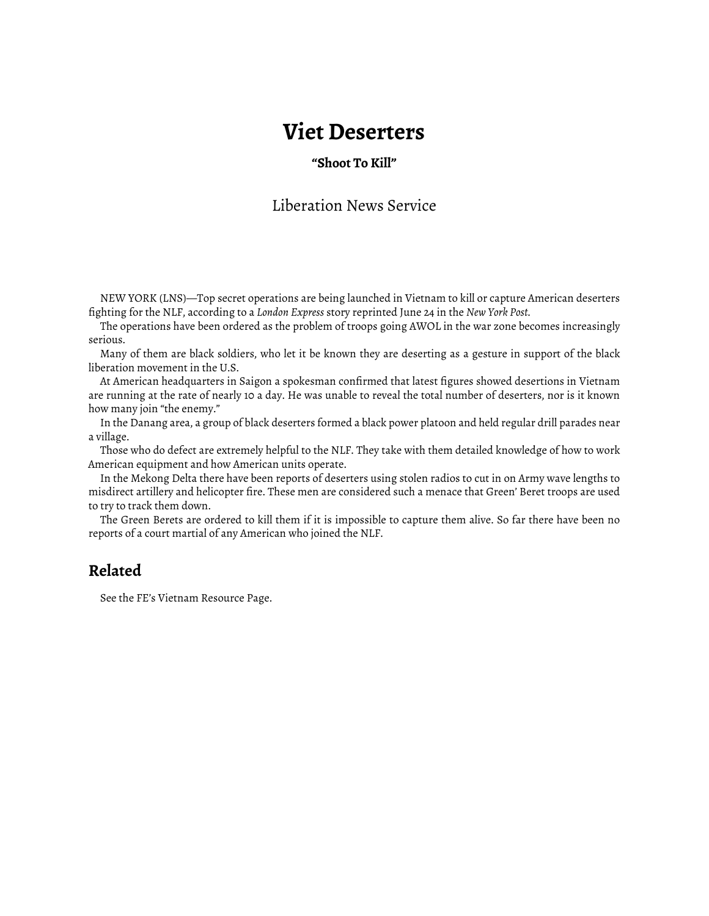## **Viet Deserters**

## **"Shoot To Kill"**

## Liberation News Service

NEW YORK (LNS)—Top secret operations are being launched in Vietnam to kill or capture American deserters fighting for the NLF, according to a *London Express* story reprinted June 24 in the *New York Post*.

The operations have been ordered as the problem of troops going AWOL in the war zone becomes increasingly serious.

Many of them are black soldiers, who let it be known they are deserting as a gesture in support of the black liberation movement in the U.S.

At American headquarters in Saigon a spokesman confirmed that latest figures showed desertions in Vietnam are running at the rate of nearly 10 a day. He was unable to reveal the total number of deserters, nor is it known how many join "the enemy."

In the Danang area, a group of black deserters formed a black power platoon and held regular drill parades near a village.

Those who do defect are extremely helpful to the NLF. They take with them detailed knowledge of how to work American equipment and how American units operate.

In the Mekong Delta there have been reports of deserters using stolen radios to cut in on Army wave lengths to misdirect artillery and helicopter fire. These men are considered such a menace that Green' Beret troops are used to try to track them down.

The Green Berets are ordered to kill them if it is impossible to capture them alive. So far there have been no reports of a court martial of any American who joined the NLF.

## **Related**

See the FE's [Vietnam Resource Page.](http://www.fifthestate.org/archive/vietnam-resource-page/)